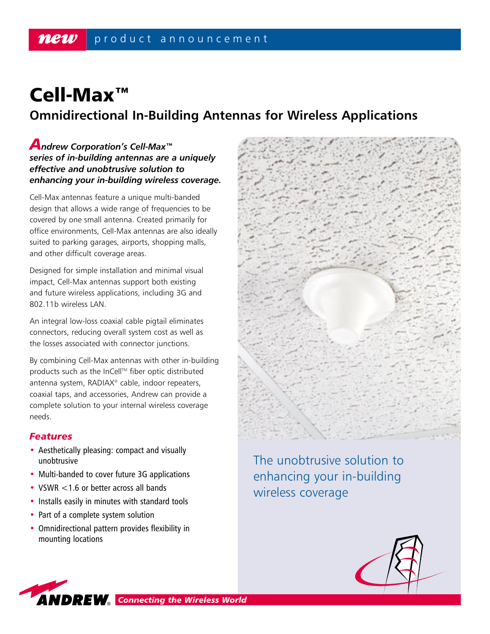# Cell-Max™ **Omnidirectional In-Building Antennas for Wireless Applications**

## *Andrew Corporation's Cell-Max™ series of in-building antennas are a uniquely effective and unobtrusive solution to enhancing your in-building wireless coverage.*

Cell-Max antennas feature a unique multi-banded design that allows a wide range of frequencies to be covered by one small antenna. Created primarily for office environments, Cell-Max antennas are also ideally suited to parking garages, airports, shopping malls, and other difficult coverage areas.

Designed for simple installation and minimal visual impact, Cell-Max antennas support both existing and future wireless applications, including 3G and 802.11b wireless LAN.

An integral low-loss coaxial cable pigtail eliminates connectors, reducing overall system cost as well as the losses associated with connector junctions.

By combining Cell-Max antennas with other in-building products such as the InCell™ fiber optic distributed antenna system, RADIAX® cable, indoor repeaters, coaxial taps, and accessories, Andrew can provide a complete solution to your internal wireless coverage needs.

## *Features*

- Aesthetically pleasing: compact and visually unobtrusive
- Multi-banded to cover future 3G applications
- VSWR <1.6 or better across all bands
- Installs easily in minutes with standard tools
- Part of a complete system solution
- Omnidirectional pattern provides flexibility in mounting locations



The unobtrusive solution to enhancing your in-building wireless coverage



*ANDREW* Connecting the Wireless World